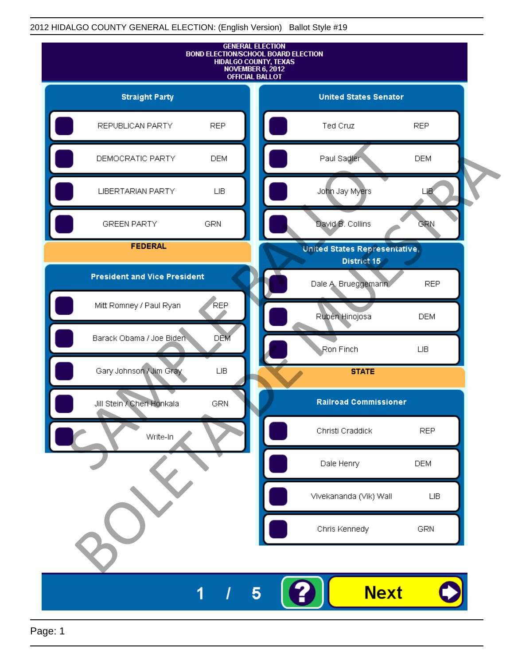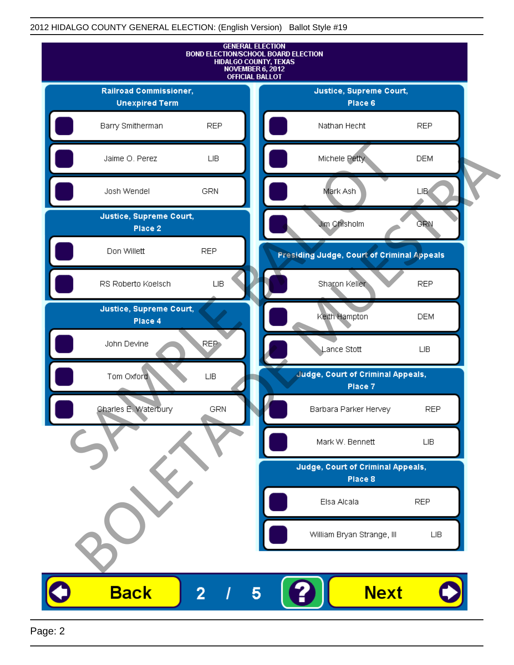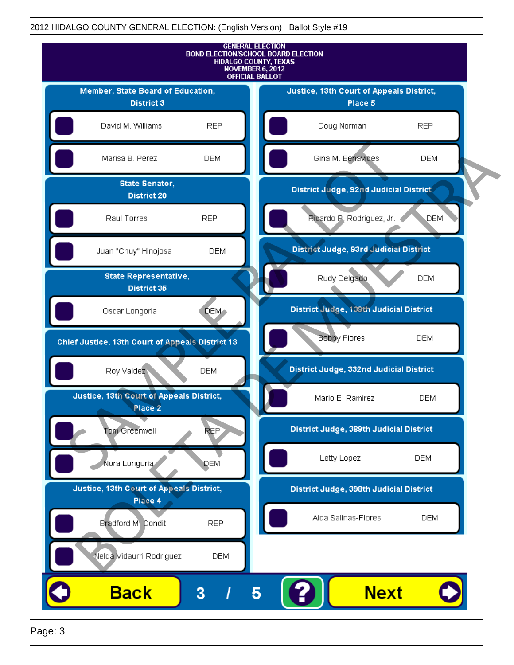

Page: 3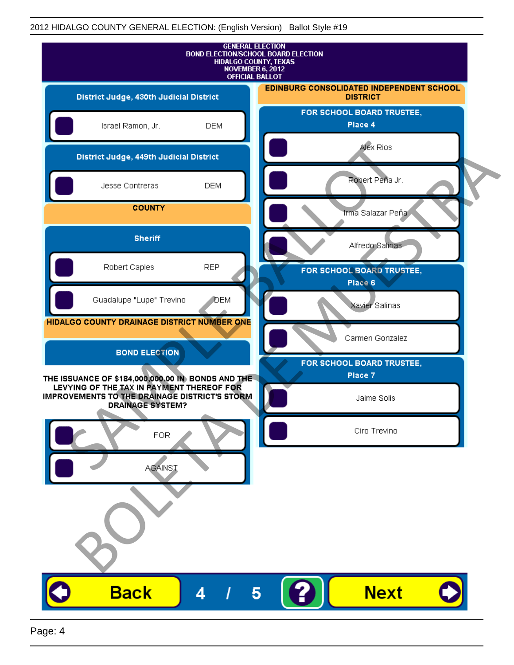| <b>GENERAL ELECTION</b><br><b>BOND ELECTION/SCHOOL BOARD ELECTION</b><br>HIDALGO COUNTY, TEXAS<br>NOVEMBER 6, 2012<br><b>OFFICIAL BALLOT</b>                               |              |                                                             |
|----------------------------------------------------------------------------------------------------------------------------------------------------------------------------|--------------|-------------------------------------------------------------|
| District Judge, 430th Judicial District                                                                                                                                    |              | EDINBURG CONSOLIDATED INDEPENDENT SCHOOL<br><b>DISTRICT</b> |
| Israel Ramon, Jr.                                                                                                                                                          | <b>DEM</b>   | FOR SCHOOL BOARD TRUSTEE,<br>Place 4                        |
| District Judge, 449th Judicial District                                                                                                                                    |              | Alex Rios                                                   |
| Jesse Contreras                                                                                                                                                            | <b>DEM</b>   | Robert Peña Jr.                                             |
| <b>COUNTY</b>                                                                                                                                                              |              | Irma Salazar Peña                                           |
| <b>Sheriff</b>                                                                                                                                                             |              | Alfredo Salinas                                             |
| Robert Caples                                                                                                                                                              | <b>REP</b>   | FOR SCHOOL BOARD TRUSTEE,<br>Place 6                        |
| Guadalupe "Lupe" Trevino                                                                                                                                                   | <b>J</b> DEM | Xavier Salinas                                              |
| HIDALGO COUNTY DRAINAGE DISTRICT NUMBER ONE                                                                                                                                |              | Carmen Gonzalez                                             |
| <b>BOND ELECTION</b>                                                                                                                                                       |              | FOR SCHOOL BOARD TRUSTEE,                                   |
| THE ISSUANCE OF \$184,000,000.00 IN BONDS AND THE<br>LEVYING OF THE TAX IN PAYMENT THEREOF FOR<br>IMPROVEMENTS TO THE DRAINAGE DISTRICT'S STORM<br><b>DRAINAGE SYSTEM?</b> |              | Place 7<br>Jaime Solis                                      |
| FOR                                                                                                                                                                        |              | Ciro Trevino                                                |
| <b>AGAINST</b>                                                                                                                                                             |              |                                                             |
|                                                                                                                                                                            |              |                                                             |
| <b>Back</b>                                                                                                                                                                | 4            | <b>Next</b><br>5                                            |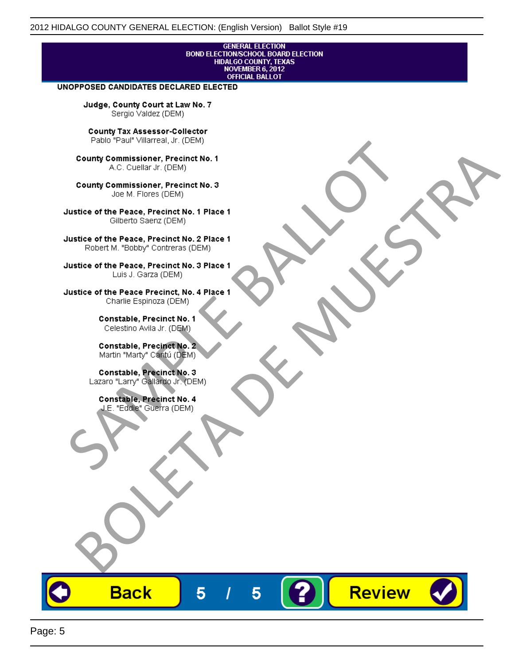# **GENERAL ELECTION** BOND ELECTIONSCHOOL BOARD ELECTION<br>HIDALGO COUNTY, TEXAS<br>NOVEMBER 6, 2012<br>OFFICIAL BALLOT

Review

#### UNOPPOSED CANDIDATES DECLARED ELECTED

Judge, County Court at Law No. 7 Sergio Valdez (DEM)

County Tax Assessor-Collector

Frame The Passe, Precinct No. 1<br>
County Commissioner, Precinct No. 1<br>
SC. Cutellar Jr. (DEM)<br>
County Commissioner, Precinct No. 2<br>
Ulastice of the Peace, Precinct No. 2<br>
Ulastice of the Peace, Precinct No. 2<br>
Robert M. "Bl County Commissioner, Precinat No. 1<br>
A County Commissioner, Precinat No. 3<br>
Use of the Peace, Precinat No. 3<br>
Use of the Peace, Precinat No. 1<br>
There is a precinc No. 2<br>
There is a precinc No. 2<br>
There is a precinc No. 2<br>

**Back** 

5

5

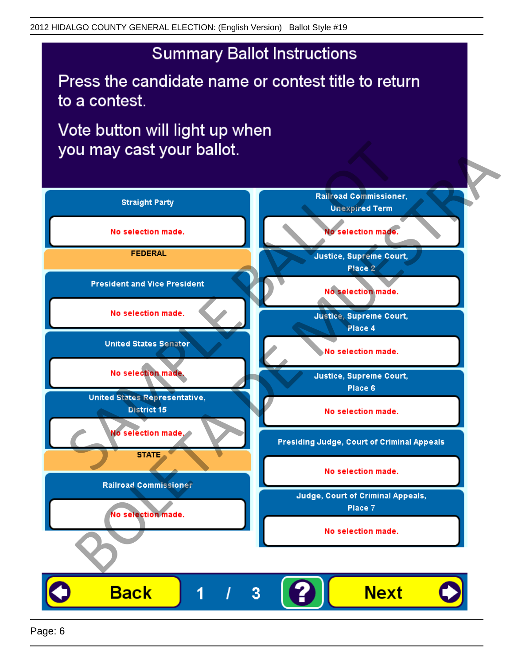## **Summary Ballot Instructions**

Press the candidate name or contest title to return to a contest.

Vote button will light up when

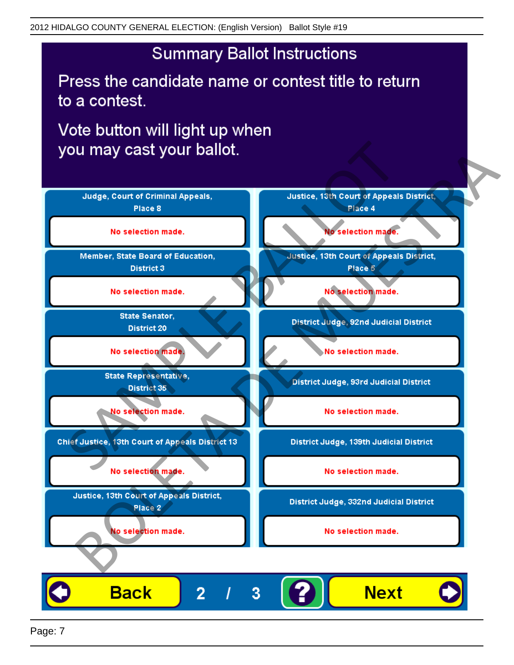## **Summary Ballot Instructions**

Press the candidate name or contest title to return to a contest.

Vote button will light up when